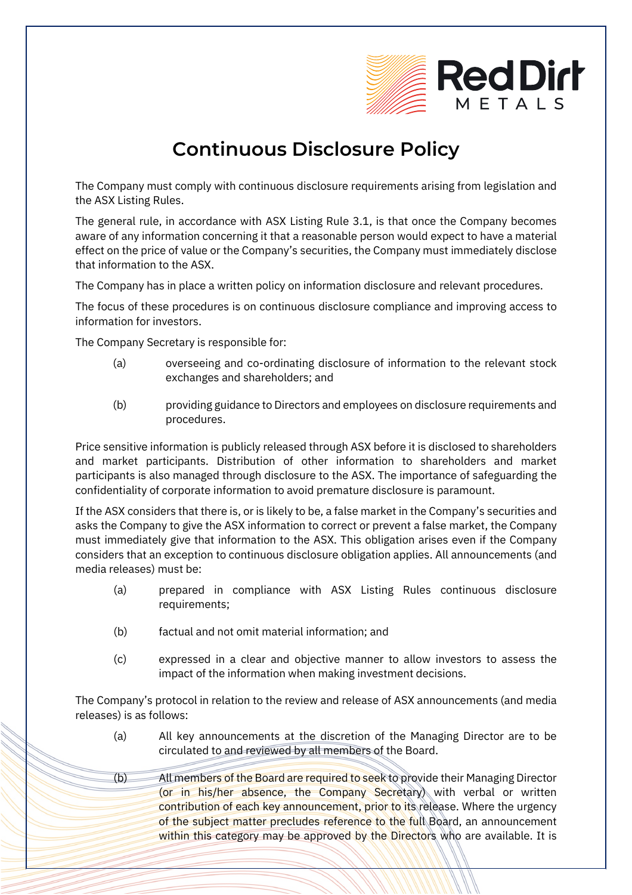

## **Continuous Disclosure Policy**

The Company must comply with continuous disclosure requirements arising from legislation and the ASX Listing Rules.

The general rule, in accordance with ASX Listing Rule 3.1, is that once the Company becomes aware of any information concerning it that a reasonable person would expect to have a material effect on the price of value or the Company's securities, the Company must immediately disclose that information to the ASX.

The Company has in place a written policy on information disclosure and relevant procedures.

The focus of these procedures is on continuous disclosure compliance and improving access to information for investors.

The Company Secretary is responsible for:

- (a) overseeing and co-ordinating disclosure of information to the relevant stock exchanges and shareholders; and
- (b) providing guidance to Directors and employees on disclosure requirements and procedures.

Price sensitive information is publicly released through ASX before it is disclosed to shareholders and market participants. Distribution of other information to shareholders and market participants is also managed through disclosure to the ASX. The importance of safeguarding the confidentiality of corporate information to avoid premature disclosure is paramount.

If the ASX considers that there is, or is likely to be, a false market in the Company's securities and asks the Company to give the ASX information to correct or prevent a false market, the Company must immediately give that information to the ASX. This obligation arises even if the Company considers that an exception to continuous disclosure obligation applies. All announcements (and media releases) must be:

- (a) prepared in compliance with ASX Listing Rules continuous disclosure requirements;
- (b) factual and not omit material information; and
- (c) expressed in a clear and objective manner to allow investors to assess the impact of the information when making investment decisions.

The Company's protocol in relation to the review and release of ASX announcements (and media releases) is as follows:

- (a) All key announcements at the discretion of the Managing Director are to be circulated to and reviewed by all members of the Board.
- (b) All members of the Board are required to seek to provide their Managing Director (or in his/her absence, the Company Secretary) with verbal or written contribution of each key announcement, prior to its release. Where the urgency of the subject matter precludes reference to the full Board, an announcement within this category may be approved by the Directors who are available. It is